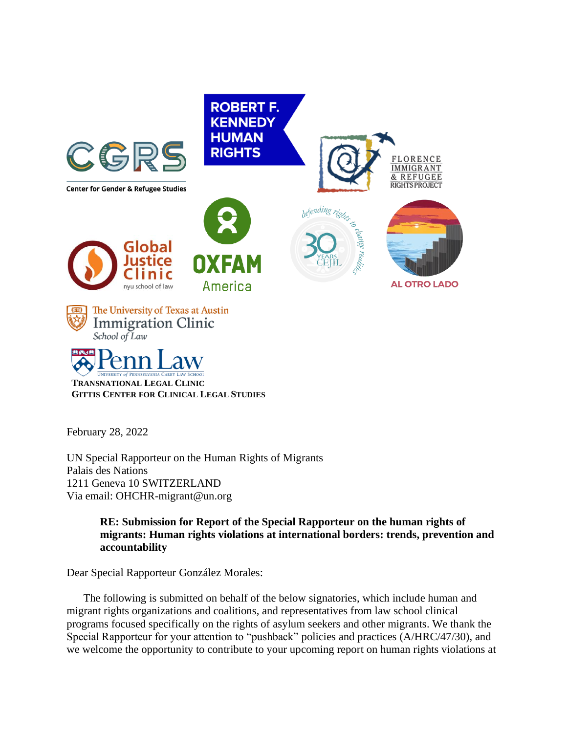

**TRANSNATIONAL LEGAL CLINIC GITTIS CENTER FOR CLINICAL LEGAL STUDIES**

February 28, 2022

UN Special Rapporteur on the Human Rights of Migrants Palais des Nations 1211 Geneva 10 SWITZERLAND Via email: OHCHR-migrant@un.org

> **RE: Submission for Report of the Special Rapporteur on the human rights of migrants: Human rights violations at international borders: trends, prevention and accountability**

Dear Special Rapporteur González Morales:

The following is submitted on behalf of the below signatories, which include human and migrant rights organizations and coalitions, and representatives from law school clinical programs focused specifically on the rights of asylum seekers and other migrants. We thank the Special Rapporteur for your attention to "pushback" policies and practices (A/HRC/47/30), and we welcome the opportunity to contribute to your upcoming report on human rights violations at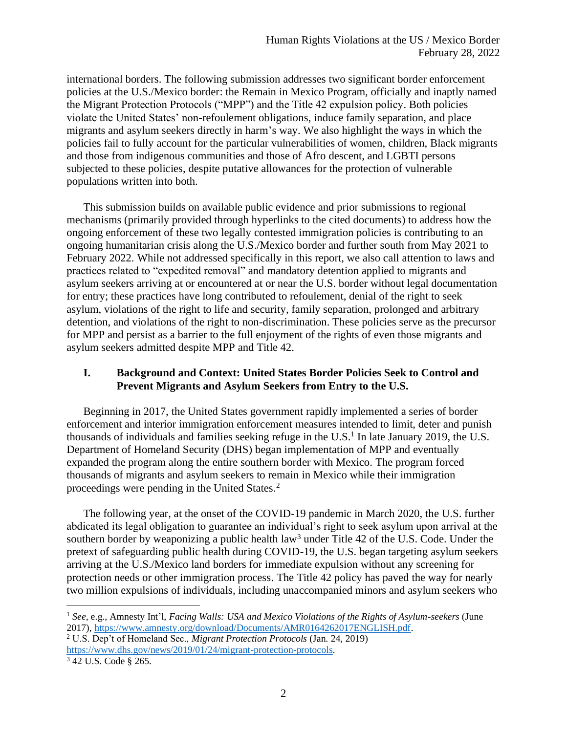international borders. The following submission addresses two significant border enforcement policies at the U.S./Mexico border: the Remain in Mexico Program, officially and inaptly named the Migrant Protection Protocols ("MPP") and the Title 42 expulsion policy. Both policies violate the United States' non-refoulement obligations, induce family separation, and place migrants and asylum seekers directly in harm's way. We also highlight the ways in which the policies fail to fully account for the particular vulnerabilities of women, children, Black migrants and those from indigenous communities and those of Afro descent, and LGBTI persons subjected to these policies, despite putative allowances for the protection of vulnerable populations written into both.

This submission builds on available public evidence and prior submissions to regional mechanisms (primarily provided through hyperlinks to the cited documents) to address how the ongoing enforcement of these two legally contested immigration policies is contributing to an ongoing humanitarian crisis along the U.S./Mexico border and further south from May 2021 to February 2022. While not addressed specifically in this report, we also call attention to laws and practices related to "expedited removal" and mandatory detention applied to migrants and asylum seekers arriving at or encountered at or near the U.S. border without legal documentation for entry; these practices have long contributed to refoulement, denial of the right to seek asylum, violations of the right to life and security, family separation, prolonged and arbitrary detention, and violations of the right to non-discrimination. These policies serve as the precursor for MPP and persist as a barrier to the full enjoyment of the rights of even those migrants and asylum seekers admitted despite MPP and Title 42.

## **I. Background and Context: United States Border Policies Seek to Control and Prevent Migrants and Asylum Seekers from Entry to the U.S.**

Beginning in 2017, the United States government rapidly implemented a series of border enforcement and interior immigration enforcement measures intended to limit, deter and punish thousands of individuals and families seeking refuge in the U.S.<sup>1</sup> In late January 2019, the U.S. Department of Homeland Security (DHS) began implementation of MPP and eventually expanded the program along the entire southern border with Mexico. The program forced thousands of migrants and asylum seekers to remain in Mexico while their immigration proceedings were pending in the United States.<sup>2</sup>

The following year, at the onset of the COVID-19 pandemic in March 2020, the U.S. further abdicated its legal obligation to guarantee an individual's right to seek asylum upon arrival at the southern border by weaponizing a public health law<sup>3</sup> under Title 42 of the U.S. Code. Under the pretext of safeguarding public health during COVID-19, the U.S. began targeting asylum seekers arriving at the U.S./Mexico land borders for immediate expulsion without any screening for protection needs or other immigration process. The Title 42 policy has paved the way for nearly two million expulsions of individuals, including unaccompanied minors and asylum seekers who

<sup>1</sup> *See*, e.g., Amnesty Int'l, *Facing Walls: USA and Mexico Violations of the Rights of Asylum-seekers* (June 2017)[, https://www.amnesty.org/download/Documents/AMR0164262017ENGLISH.pdf.](https://www.amnesty.org/download/Documents/AMR0164262017ENGLISH.pdf)

<sup>2</sup> U.S. Dep't of Homeland Sec., *Migrant Protection Protocols* (Jan. 24, 2019) [https://www.dhs.gov/news/2019/01/24/migrant-protection-protocols.](https://www.dhs.gov/news/2019/01/24/migrant-protection-protocols)

<sup>3</sup> 42 U.S. Code § 265.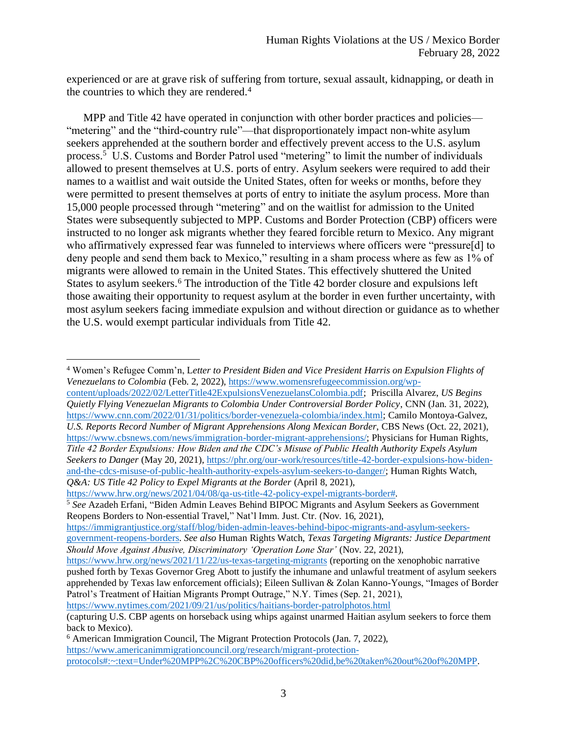experienced or are at grave risk of suffering from torture, sexual assault, kidnapping, or death in the countries to which they are rendered. 4

MPP and Title 42 have operated in conjunction with other border practices and policies— "metering" and the "third-country rule"—that disproportionately impact non-white asylum seekers apprehended at the southern border and effectively prevent access to the U.S. asylum process. <sup>5</sup> U.S. Customs and Border Patrol used "metering" to limit the number of individuals allowed to present themselves at U.S. ports of entry. Asylum seekers were required to add their names to a waitlist and wait outside the United States, often for weeks or months, before they were permitted to present themselves at ports of entry to initiate the asylum process. More than 15,000 people processed through "metering" and on the waitlist for admission to the United States were subsequently subjected to MPP. Customs and Border Protection (CBP) officers were instructed to no longer ask migrants whether they feared forcible return to Mexico. Any migrant who affirmatively expressed fear was funneled to interviews where officers were "pressure[d] to deny people and send them back to Mexico," resulting in a sham process where as few as 1% of migrants were allowed to remain in the United States. This effectively shuttered the United States to asylum seekers.<sup>6</sup> The introduction of the Title 42 border closure and expulsions left those awaiting their opportunity to request asylum at the border in even further uncertainty, with most asylum seekers facing immediate expulsion and without direction or guidance as to whether the U.S. would exempt particular individuals from Title 42.

[content/uploads/2022/02/LetterTitle42ExpulsionsVenezuelansColombia.pdf;](https://www.womensrefugeecommission.org/wp-content/uploads/2022/02/LetterTitle42ExpulsionsVenezuelansColombia.pdf) Priscilla Alvarez, *US Begins Quietly Flying Venezuelan Migrants to Colombia Under Controversial Border Policy*, CNN (Jan. 31, 2022), [https://www.cnn.com/2022/01/31/politics/border-venezuela-colombia/index.html;](https://www.cnn.com/2022/01/31/politics/border-venezuela-colombia/index.html) Camilo Montoya-Galvez, *U.S. Reports Record Number of Migrant Apprehensions Along Mexican Border*, CBS News (Oct. 22, 2021), [https://www.cbsnews.com/news/immigration-border-migrant-apprehensions/;](https://www.cbsnews.com/news/immigration-border-migrant-apprehensions/) Physicians for Human Rights, *Title 42 Border Expulsions: How Biden and the CDC's Misuse of Public Health Authority Expels Asylum Seekers to Danger* (May 20, 2021), [https://phr.org/our-work/resources/title-42-border-expulsions-how-biden](https://phr.org/our-work/resources/title-42-border-expulsions-how-biden-and-the-cdcs-misuse-of-public-health-authority-expels-asylum-seekers-to-danger/)[and-the-cdcs-misuse-of-public-health-authority-expels-asylum-seekers-to-danger/;](https://phr.org/our-work/resources/title-42-border-expulsions-how-biden-and-the-cdcs-misuse-of-public-health-authority-expels-asylum-seekers-to-danger/) Human Rights Watch, *Q&A: US Title 42 Policy to Expel Migrants at the Border* (April 8, 2021),

[https://www.hrw.org/news/2021/04/08/qa-us-title-42-policy-expel-migrants-border#.](https://www.hrw.org/news/2021/04/08/qa-us-title-42-policy-expel-migrants-border)

<sup>5</sup> *See* Azadeh Erfani, "Biden Admin Leaves Behind BIPOC Migrants and Asylum Seekers as Government Reopens Borders to Non-essential Travel," Nat'l Imm. Just. Ctr. (Nov. 16, 2021),

[https://immigrantjustice.org/staff/blog/biden-admin-leaves-behind-bipoc-migrants-and-asylum-seekers](https://immigrantjustice.org/staff/blog/biden-admin-leaves-behind-bipoc-migrants-and-asylum-seekers-government-reopens-borders)[government-reopens-borders.](https://immigrantjustice.org/staff/blog/biden-admin-leaves-behind-bipoc-migrants-and-asylum-seekers-government-reopens-borders) *See also* Human Rights Watch, *Texas Targeting Migrants: Justice Department Should Move Against Abusive, Discriminatory 'Operation Lone Star'* (Nov. 22, 2021),

<https://www.nytimes.com/2021/09/21/us/politics/haitians-border-patrolphotos.html>

<sup>4</sup> Women's Refugee Comm'n, L*etter to President Biden and Vice President Harris on Expulsion Flights of Venezuelans to Colombia* (Feb. 2, 2022)[, https://www.womensrefugeecommission.org/wp-](https://www.womensrefugeecommission.org/wp-content/uploads/2022/02/LetterTitle42ExpulsionsVenezuelansColombia.pdf)

<https://www.hrw.org/news/2021/11/22/us-texas-targeting-migrants> (reporting on the xenophobic narrative pushed forth by Texas Governor Greg Abott to justify the inhumane and unlawful treatment of asylum seekers apprehended by Texas law enforcement officials); Eileen Sullivan & Zolan Kanno-Youngs, "Images of Border Patrol's Treatment of Haitian Migrants Prompt Outrage," N.Y. Times (Sep. 21, 2021),

<sup>(</sup>capturing U.S. CBP agents on horseback using whips against unarmed Haitian asylum seekers to force them back to Mexico).

<sup>6</sup> American Immigration Council, The Migrant Protection Protocols (Jan. 7, 2022), [https://www.americanimmigrationcouncil.org/research/migrant-protection](https://www.americanimmigrationcouncil.org/research/migrant-protection-protocols#:~:text=Under%20MPP%2C%20CBP%20officers%20did,be%20taken%20out%20of%20MPP)[protocols#:~:text=Under%20MPP%2C%20CBP%20officers%20did,be%20taken%20out%20of%20MPP.](https://www.americanimmigrationcouncil.org/research/migrant-protection-protocols#:~:text=Under%20MPP%2C%20CBP%20officers%20did,be%20taken%20out%20of%20MPP)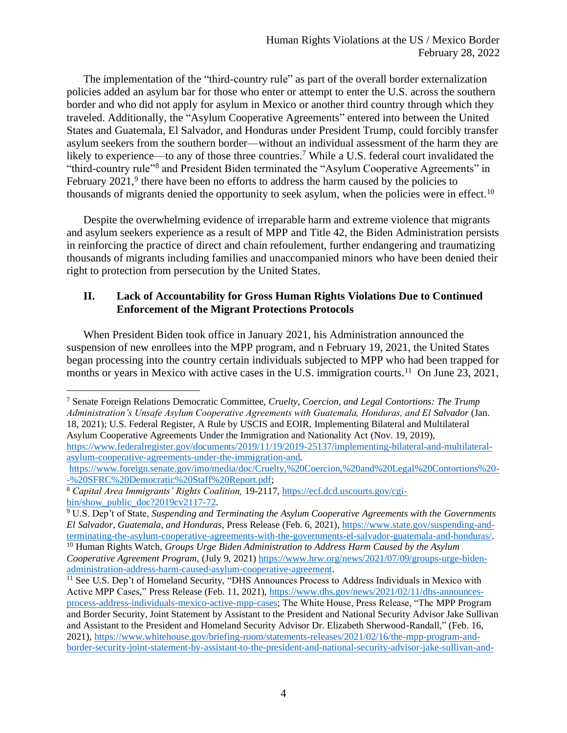The implementation of the "third-country rule" as part of the overall border externalization policies added an asylum bar for those who enter or attempt to enter the U.S. across the southern border and who did not apply for asylum in Mexico or another third country through which they traveled. Additionally, the "Asylum Cooperative Agreements" entered into between the United States and Guatemala, El Salvador, and Honduras under President Trump, could forcibly transfer asylum seekers from the southern border—without an individual assessment of the harm they are likely to experience—to any of those three countries.<sup>7</sup> While a U.S. federal court invalidated the "third-country rule"<sup>8</sup> and President Biden terminated the "Asylum Cooperative Agreements" in February  $2021$ ,<sup>9</sup> there have been no efforts to address the harm caused by the policies to thousands of migrants denied the opportunity to seek asylum, when the policies were in effect.<sup>10</sup>

Despite the overwhelming evidence of irreparable harm and extreme violence that migrants and asylum seekers experience as a result of MPP and Title 42, the Biden Administration persists in reinforcing the practice of direct and chain refoulement, further endangering and traumatizing thousands of migrants including families and unaccompanied minors who have been denied their right to protection from persecution by the United States.

# **II. Lack of Accountability for Gross Human Rights Violations Due to Continued Enforcement of the Migrant Protections Protocols**

When President Biden took office in January 2021, his Administration announced the suspension of new enrollees into the MPP program, and n February 19, 2021, the United States began processing into the country certain individuals subjected to MPP who had been trapped for months or years in Mexico with active cases in the U.S. immigration courts.<sup>11</sup> On June 23, 2021,

<sup>7</sup> Senate Foreign Relations Democratic Committee, *Cruelty, Coercion, and Legal Contortions: The Trump Administration's Unsafe Asylum Cooperative Agreements with Guatemala, Honduras, and El Salvador* (Jan. 18, 2021); U.S. Federal Register, A Rule by USCIS and EOIR, Implementing Bilateral and Multilateral Asylum Cooperative Agreements Under the Immigration and Nationality Act (Nov. 19, 2019),

[https://www.federalregister.gov/documents/2019/11/19/2019-25137/implementing-bilateral-and-multilateral](https://www.federalregister.gov/documents/2019/11/19/2019-25137/implementing-bilateral-and-multilateral-asylum-cooperative-agreements-under-the-immigration-and)[asylum-cooperative-agreements-under-the-immigration-and.](https://www.federalregister.gov/documents/2019/11/19/2019-25137/implementing-bilateral-and-multilateral-asylum-cooperative-agreements-under-the-immigration-and)

<sup>9</sup> U.S. Dep't of State, *Suspending and Terminating the Asylum Cooperative Agreements with the Governments El Salvador, Guatemala, and Honduras*, Press Release (Feb. 6, 2021), [https://www.state.gov/suspending-and](https://www.state.gov/suspending-and-terminating-the-asylum-cooperative-agreements-with-the-governments-el-salvador-guatemala-and-honduras/)[terminating-the-asylum-cooperative-agreements-with-the-governments-el-salvador-guatemala-and-honduras/.](https://www.state.gov/suspending-and-terminating-the-asylum-cooperative-agreements-with-the-governments-el-salvador-guatemala-and-honduras/)

[https://www.foreign.senate.gov/imo/media/doc/Cruelty,%20Coercion,%20and%20Legal%20Contortions%20-](https://www.foreign.senate.gov/imo/media/doc/Cruelty,%20Coercion,%20and%20Legal%20Contortions%20--%20SFRC%20Democratic%20Staff%20Report.pdf) [-%20SFRC%20Democratic%20Staff%20Report.pdf;](https://www.foreign.senate.gov/imo/media/doc/Cruelty,%20Coercion,%20and%20Legal%20Contortions%20--%20SFRC%20Democratic%20Staff%20Report.pdf)

<sup>8</sup> *Capital Area Immigrants' Rights Coalition,* 19-2117[, https://ecf.dcd.uscourts.gov/cgi](https://ecf.dcd.uscourts.gov/cgi-bin/show_public_doc?2019cv2117-72)[bin/show\\_public\\_doc?2019cv2117-72.](https://ecf.dcd.uscourts.gov/cgi-bin/show_public_doc?2019cv2117-72)

<sup>10</sup> Human Rights Watch, *Groups Urge Biden Administration to Address Harm Caused by the Asylum Cooperative Agreement Program*, (July 9, 2021) [https://www.hrw.org/news/2021/07/09/groups-urge-biden](https://www.hrw.org/news/2021/07/09/groups-urge-biden-administration-address-harm-caused-asylum-cooperative-agreement)[administration-address-harm-caused-asylum-cooperative-agreement.](https://www.hrw.org/news/2021/07/09/groups-urge-biden-administration-address-harm-caused-asylum-cooperative-agreement)

<sup>&</sup>lt;sup>11</sup> See U.S. Dep't of Homeland Security, "DHS Announces Process to Address Individuals in Mexico with Active MPP Cases," Press Release (Feb. 11, 2021)[, https://www.dhs.gov/news/2021/02/11/dhs-announces](https://www.dhs.gov/news/2021/02/11/dhs-announces-process-address-individuals-mexico-active-mpp-cases)[process-address-individuals-mexico-active-mpp-cases;](https://www.dhs.gov/news/2021/02/11/dhs-announces-process-address-individuals-mexico-active-mpp-cases) The White House, Press Release, "The MPP Program and Border Security, Joint Statement by Assistant to the President and National Security Advisor Jake Sullivan and Assistant to the President and Homeland Security Advisor Dr. Elizabeth Sherwood-Randall," (Feb. 16, 2021), [https://www.whitehouse.gov/briefing-room/statements-releases/2021/02/16/the-mpp-program-and](https://www.whitehouse.gov/briefing-room/statements-releases/2021/02/16/the-mpp-program-and-border-security-joint-statement-by-assistant-to-the-president-and-national-security-advisor-jake-sullivan-and-assistant-to-the-president-and-homeland-security-advisor-and-deputy-na/)[border-security-joint-statement-by-assistant-to-the-president-and-national-security-advisor-jake-sullivan-and-](https://www.whitehouse.gov/briefing-room/statements-releases/2021/02/16/the-mpp-program-and-border-security-joint-statement-by-assistant-to-the-president-and-national-security-advisor-jake-sullivan-and-assistant-to-the-president-and-homeland-security-advisor-and-deputy-na/)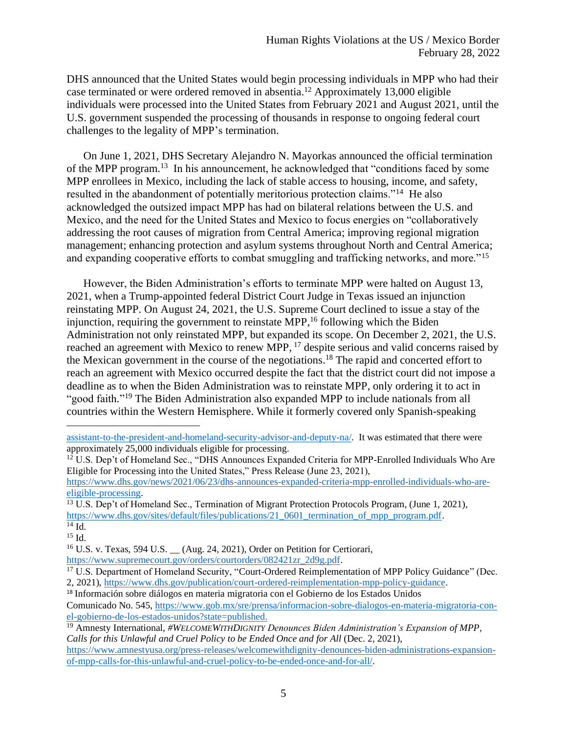DHS announced that the United States would begin processing individuals in MPP who had their case terminated or were ordered removed in absentia.<sup>12</sup> Approximately 13,000 eligible individuals were processed into the United States from February 2021 and August 2021, until the U.S. government suspended the processing of thousands in response to ongoing federal court challenges to the legality of MPP's termination.

On June 1, 2021, DHS Secretary Alejandro N. Mayorkas announced the official termination of the MPP program.<sup>13</sup> In his announcement, he acknowledged that "conditions faced by some MPP enrollees in Mexico, including the lack of stable access to housing, income, and safety, resulted in the abandonment of potentially meritorious protection claims."<sup>14</sup> He also acknowledged the outsized impact MPP has had on bilateral relations between the U.S. and Mexico, and the need for the United States and Mexico to focus energies on "collaboratively addressing the root causes of migration from Central America; improving regional migration management; enhancing protection and asylum systems throughout North and Central America; and expanding cooperative efforts to combat smuggling and trafficking networks, and more."<sup>15</sup>

However, the Biden Administration's efforts to terminate MPP were halted on August 13, 2021, when a Trump-appointed federal District Court Judge in Texas issued an injunction reinstating MPP. On August 24, 2021, the U.S. Supreme Court declined to issue a stay of the injunction, requiring the government to reinstate MPP, <sup>16</sup> following which the Biden Administration not only reinstated MPP, but expanded its scope. On December 2, 2021, the U.S. reached an agreement with Mexico to renew MPP, <sup>17</sup> despite serious and valid concerns raised by the Mexican government in the course of the negotiations. <sup>18</sup> The rapid and concerted effort to reach an agreement with Mexico occurred despite the fact that the district court did not impose a deadline as to when the Biden Administration was to reinstate MPP, only ordering it to act in "good faith."<sup>19</sup> The Biden Administration also expanded MPP to include nationals from all countries within the Western Hemisphere. While it formerly covered only Spanish-speaking

<sup>12</sup> U.S. Dep't of Homeland Sec., "DHS Announces Expanded Criteria for MPP-Enrolled Individuals Who Are Eligible for Processing into the United States," Press Release (June 23, 2021),

<sup>15</sup> Id.

[assistant-to-the-president-and-homeland-security-advisor-and-deputy-na/.](https://www.whitehouse.gov/briefing-room/statements-releases/2021/02/16/the-mpp-program-and-border-security-joint-statement-by-assistant-to-the-president-and-national-security-advisor-jake-sullivan-and-assistant-to-the-president-and-homeland-security-advisor-and-deputy-na/) It was estimated that there were approximately 25,000 individuals eligible for processing.

[https://www.dhs.gov/news/2021/06/23/dhs-announces-expanded-criteria-mpp-enrolled-individuals-who-are](https://www.dhs.gov/news/2021/06/23/dhs-announces-expanded-criteria-mpp-enrolled-individuals-who-are-eligible-processing)[eligible-processing.](https://www.dhs.gov/news/2021/06/23/dhs-announces-expanded-criteria-mpp-enrolled-individuals-who-are-eligible-processing)

<sup>&</sup>lt;sup>13</sup> U.S. Dep't of Homeland Sec., Termination of Migrant Protection Protocols Program, (June 1, 2021), [https://www.dhs.gov/sites/default/files/publications/21\\_0601\\_termination\\_of\\_mpp\\_program.pdf.](https://www.dhs.gov/sites/default/files/publications/21_0601_termination_of_mpp_program.pdf) <sup>14</sup> Id.

<sup>&</sup>lt;sup>16</sup> U.S. v. Texas, 594 U.S. <sub>(Aug. 24, 2021)</sub>, Order on Petition for Certiorari,

[https://www.supremecourt.gov/orders/courtorders/082421zr\\_2d9g.pdf.](https://www.supremecourt.gov/orders/courtorders/082421zr_2d9g.pdf)

<sup>&</sup>lt;sup>17</sup> U.S. Department of Homeland Security, "Court-Ordered Reimplementation of MPP Policy Guidance" (Dec. 2, 2021), [https://www.dhs.gov/publication/court-ordered-reimplementation-mpp-policy-guidance.](https://www.dhs.gov/publication/court-ordered-reimplementation-mpp-policy-guidance)

<sup>18</sup> Información sobre diálogos en materia migratoria con el Gobierno de los Estados Unidos Comunicado No. 545, [https://www.gob.mx/sre/prensa/informacion-sobre-dialogos-en-materia-migratoria-con-](https://www.gob.mx/sre/prensa/informacion-sobre-dialogos-en-materia-migratoria-con-el-gobierno-de-los-estados-unidos?state=published)

[el-gobierno-de-los-estados-unidos?state=published.](https://www.gob.mx/sre/prensa/informacion-sobre-dialogos-en-materia-migratoria-con-el-gobierno-de-los-estados-unidos?state=published)

<sup>19</sup> Amnesty International, *#WELCOMEWITHDIGNITY Denounces Biden Administration's Expansion of MPP, Calls for this Unlawful and Cruel Policy to be Ended Once and for All* (Dec. 2, 2021),

[https://www.amnestyusa.org/press-releases/welcomewithdignity-denounces-biden-administrations-expansion](https://www.amnestyusa.org/press-releases/welcomewithdignity-denounces-biden-administrations-expansion-of-mpp-calls-for-this-unlawful-and-cruel-policy-to-be-ended-once-and-for-all/)[of-mpp-calls-for-this-unlawful-and-cruel-policy-to-be-ended-once-and-for-all/.](https://www.amnestyusa.org/press-releases/welcomewithdignity-denounces-biden-administrations-expansion-of-mpp-calls-for-this-unlawful-and-cruel-policy-to-be-ended-once-and-for-all/)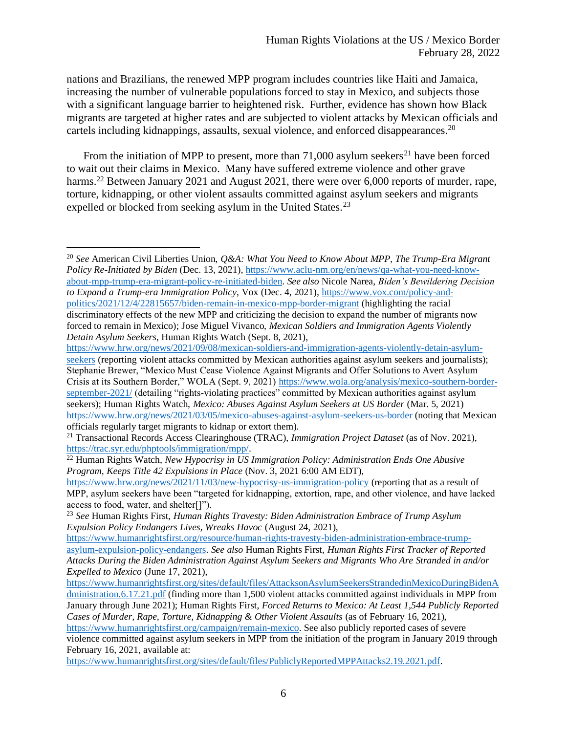nations and Brazilians, the renewed MPP program includes countries like Haiti and Jamaica, increasing the number of vulnerable populations forced to stay in Mexico, and subjects those with a significant language barrier to heightened risk. Further, evidence has shown how Black migrants are targeted at higher rates and are subjected to violent attacks by Mexican officials and cartels including kidnappings, assaults, sexual violence, and enforced disappearances.<sup>20</sup>

From the initiation of MPP to present, more than  $71,000$  asylum seekers<sup>21</sup> have been forced to wait out their claims in Mexico. Many have suffered extreme violence and other grave harms.<sup>22</sup> Between January 2021 and August 2021, there were over 6,000 reports of murder, rape, torture, kidnapping, or other violent assaults committed against asylum seekers and migrants expelled or blocked from seeking asylum in the United States.<sup>23</sup>

<sup>20</sup> *See* American Civil Liberties Union, *Q&A: What You Need to Know About MPP, The Trump-Era Migrant Policy Re-Initiated by Biden* (Dec. 13, 2021), [https://www.aclu-nm.org/en/news/qa-what-you-need-know](https://www.aclu-nm.org/en/news/qa-what-you-need-know-about-mpp-trump-era-migrant-policy-re-initiated-biden)[about-mpp-trump-era-migrant-policy-re-initiated-biden.](https://www.aclu-nm.org/en/news/qa-what-you-need-know-about-mpp-trump-era-migrant-policy-re-initiated-biden) *See also* Nicole Narea, *Biden's Bewildering Decision to Expand a Trump-era Immigration Policy*, Vox (Dec. 4, 2021), [https://www.vox.com/policy-and](https://www.vox.com/policy-and-politics/2021/12/4/22815657/biden-remain-in-mexico-mpp-border-migrant)[politics/2021/12/4/22815657/biden-remain-in-mexico-mpp-border-migrant](https://www.vox.com/policy-and-politics/2021/12/4/22815657/biden-remain-in-mexico-mpp-border-migrant) (highlighting the racial discriminatory effects of the new MPP and criticizing the decision to expand the number of migrants now forced to remain in Mexico); Jose Miguel Vivanco, *Mexican Soldiers and Immigration Agents Violently* 

*Detain Asylum Seekers*, Human Rights Watch (Sept. 8, 2021),

[https://www.hrw.org/news/2021/09/08/mexican-soldiers-and-immigration-agents-violently-detain-asylum](https://www.hrw.org/news/2021/09/08/mexican-soldiers-and-immigration-agents-violently-detain-asylum-seekers)[seekers](https://www.hrw.org/news/2021/09/08/mexican-soldiers-and-immigration-agents-violently-detain-asylum-seekers) (reporting violent attacks committed by Mexican authorities against asylum seekers and journalists); Stephanie Brewer, "Mexico Must Cease Violence Against Migrants and Offer Solutions to Avert Asylum Crisis at its Southern Border," WOLA (Sept. 9, 2021[\) https://www.wola.org/analysis/mexico-southern-border](https://www.wola.org/analysis/mexico-southern-border-september-2021/)[september-2021/](https://www.wola.org/analysis/mexico-southern-border-september-2021/) (detailing "rights-violating practices" committed by Mexican authorities against asylum seekers); Human Rights Watch, *Mexico: Abuses Against Asylum Seekers at US Border* (Mar. 5, 2021) <https://www.hrw.org/news/2021/03/05/mexico-abuses-against-asylum-seekers-us-border> (noting that Mexican officials regularly target migrants to kidnap or extort them).

<sup>21</sup> Transactional Records Access Clearinghouse (TRAC), *Immigration Project Dataset* (as of Nov. 2021), [https://trac.syr.edu/phptools/immigration/mpp/.](https://trac.syr.edu/phptools/immigration/mpp/)

<sup>22</sup> Human Rights Watch, *New Hypocrisy in US Immigration Policy: Administration Ends One Abusive Program, Keeps Title 42 Expulsions in Place* (Nov. 3, 2021 6:00 AM EDT),

<https://www.hrw.org/news/2021/11/03/new-hypocrisy-us-immigration-policy> (reporting that as a result of MPP, asylum seekers have been "targeted for kidnapping, extortion, rape, and other violence, and have lacked access to food, water, and shelter[]").

<sup>23</sup> *See* Human Rights First, *Human Rights Travesty: Biden Administration Embrace of Trump Asylum Expulsion Policy Endangers Lives, Wreaks Havoc* (August 24, 2021),

[https://www.humanrightsfirst.org/resource/human-rights-travesty-biden-administration-embrace-trump](https://www.humanrightsfirst.org/resource/human-rights-travesty-biden-administration-embrace-trump-asylum-expulsion-policy-endangers)[asylum-expulsion-policy-endangers.](https://www.humanrightsfirst.org/resource/human-rights-travesty-biden-administration-embrace-trump-asylum-expulsion-policy-endangers) *See also* Human Rights First, *Human Rights First Tracker of Reported Attacks During the Biden Administration Against Asylum Seekers and Migrants Who Are Stranded in and/or Expelled to Mexico* (June 17, 2021),

[https://www.humanrightsfirst.org/sites/default/files/AttacksonAsylumSeekersStrandedinMexicoDuringBidenA](https://www.humanrightsfirst.org/sites/default/files/AttacksonAsylumSeekersStrandedinMexicoDuringBidenAdministration.6.17.21.pdf) [dministration.6.17.21.pdf](https://www.humanrightsfirst.org/sites/default/files/AttacksonAsylumSeekersStrandedinMexicoDuringBidenAdministration.6.17.21.pdf) (finding more than 1,500 violent attacks committed against individuals in MPP from January through June 2021); Human Rights First, *Forced Returns to Mexico: At Least 1,544 Publicly Reported Cases of Murder, Rape, Torture, Kidnapping & Other Violent Assaults* (as of February 16, 2021),

[https://www.humanrightsfirst.org/campaign/remain-mexico.](https://www.humanrightsfirst.org/campaign/remain-mexico) See also publicly reported cases of severe violence committed against asylum seekers in MPP from the initiation of the program in January 2019 through February 16, 2021, available at:

[https://www.humanrightsfirst.org/sites/default/files/PubliclyReportedMPPAttacks2.19.2021.pdf.](https://www.humanrightsfirst.org/sites/default/files/PubliclyReportedMPPAttacks2.19.2021.pdf)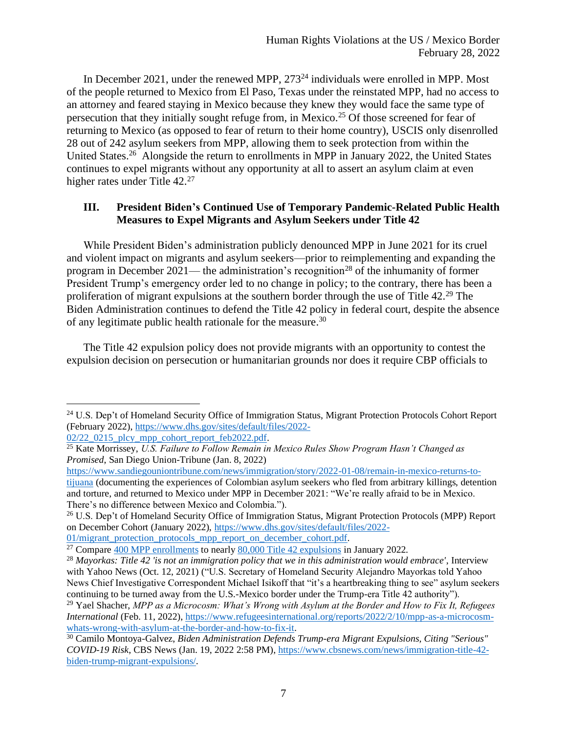In December 2021, under the renewed MPP, 273<sup>24</sup> individuals were enrolled in MPP. Most of the people returned to Mexico from El Paso, Texas under the reinstated MPP, had no access to an attorney and feared staying in Mexico because they knew they would face the same type of persecution that they initially sought refuge from, in Mexico. <sup>25</sup> Of those screened for fear of returning to Mexico (as opposed to fear of return to their home country), USCIS only disenrolled 28 out of 242 asylum seekers from MPP, allowing them to seek protection from within the United States.<sup>26</sup> Alongside the return to enrollments in MPP in January 2022, the United States continues to expel migrants without any opportunity at all to assert an asylum claim at even higher rates under Title 42.<sup>27</sup>

## **III. President Biden's Continued Use of Temporary Pandemic-Related Public Health Measures to Expel Migrants and Asylum Seekers under Title 42**

While President Biden's administration publicly denounced MPP in June 2021 for its cruel and violent impact on migrants and asylum seekers—prior to reimplementing and expanding the program in December 2021— the administration's recognition<sup>28</sup> of the inhumanity of former President Trump's emergency order led to no change in policy; to the contrary, there has been a proliferation of migrant expulsions at the southern border through the use of Title 42.<sup>29</sup> The Biden Administration continues to defend the Title 42 policy in federal court, despite the absence of any legitimate public health rationale for the measure.<sup>30</sup>

The Title 42 expulsion policy does not provide migrants with an opportunity to contest the expulsion decision on persecution or humanitarian grounds nor does it require CBP officials to

[01/migrant\\_protection\\_protocols\\_mpp\\_report\\_on\\_december\\_cohort.pdf.](https://www.dhs.gov/sites/default/files/2022-01/migrant_protection_protocols_mpp_report_on_december_cohort.pdf)

<sup>&</sup>lt;sup>24</sup> U.S. Dep't of Homeland Security Office of Immigration Status, Migrant Protection Protocols Cohort Report (February 2022), [https://www.dhs.gov/sites/default/files/2022-](https://www.dhs.gov/sites/default/files/2022-02/22_0215_plcy_mpp_cohort_report_feb2022.pdf)  $02/22$   $0215$  plcy mpp cohort report feb2022.pdf.

<sup>25</sup> Kate Morrissey, *U.S. Failure to Follow Remain in Mexico Rules Show Program Hasn't Changed as Promised*, San Diego Union-Tribune (Jan. 8, 2022)

[https://www.sandiegouniontribune.com/news/immigration/story/2022-01-08/remain-in-mexico-returns-to](https://www.sandiegouniontribune.com/news/immigration/story/2022-01-08/remain-in-mexico-returns-to-tijuana)[tijuana](https://www.sandiegouniontribune.com/news/immigration/story/2022-01-08/remain-in-mexico-returns-to-tijuana) (documenting the experiences of Colombian asylum seekers who fled from arbitrary killings, detention and torture, and returned to Mexico under MPP in December 2021: "We're really afraid to be in Mexico. There's no difference between Mexico and Colombia.").

<sup>&</sup>lt;sup>26</sup> U.S. Dep't of Homeland Security Office of Immigration Status, Migrant Protection Protocols (MPP) Report on December Cohort (January 2022), [https://www.dhs.gov/sites/default/files/2022-](https://www.dhs.gov/sites/default/files/2022-01/migrant_protection_protocols_mpp_report_on_december_cohort.pdf)

<sup>&</sup>lt;sup>27</sup> Compar[e 400 MPP enrollments](https://www.dhs.gov/sites/default/files/2022-02/22_0215_plcy_mpp_cohort_report_feb2022.pdf) to nearly  $80,000$  Title 42 expulsions in January 2022.

<sup>28</sup> *Mayorkas: Title 42 'is not an immigration policy that we in this administration would embrace'*, Interview with Yahoo News (Oct. 12, 2021) ("U.S. Secretary of Homeland Security Alejandro Mayorkas told Yahoo News Chief Investigative Correspondent Michael Isikoff that "it's a heartbreaking thing to see" asylum seekers continuing to be turned away from the U.S.-Mexico border under the Trump-era Title 42 authority").

<sup>29</sup> Yael Shacher, *MPP as a Microcosm: What's Wrong with Asylum at the Border and How to Fix It, Refugees International* (Feb. 11, 2022), [https://www.refugeesinternational.org/reports/2022/2/10/mpp-as-a-microcosm](https://www.refugeesinternational.org/reports/2022/2/10/mpp-as-a-microcosm-whats-wrong-with-asylum-at-the-border-and-how-to-fix-it)[whats-wrong-with-asylum-at-the-border-and-how-to-fix-it.](https://www.refugeesinternational.org/reports/2022/2/10/mpp-as-a-microcosm-whats-wrong-with-asylum-at-the-border-and-how-to-fix-it)

<sup>30</sup> Camilo Montoya-Galvez, *Biden Administration Defends Trump-era Migrant Expulsions, Citing "Serious" COVID-19 Risk*, CBS News (Jan. 19, 2022 2:58 PM)[, https://www.cbsnews.com/news/immigration-title-42](https://www.cbsnews.com/news/immigration-title-42-biden-trump-migrant-expulsions/) [biden-trump-migrant-expulsions/.](https://www.cbsnews.com/news/immigration-title-42-biden-trump-migrant-expulsions/)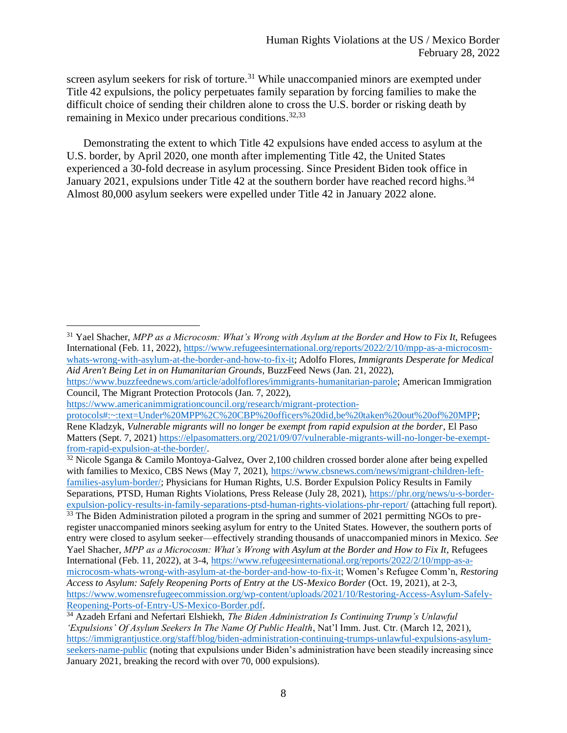screen asylum seekers for risk of torture.<sup>31</sup> While unaccompanied minors are exempted under Title 42 expulsions, the policy perpetuates family separation by forcing families to make the difficult choice of sending their children alone to cross the U.S. border or risking death by remaining in Mexico under precarious conditions.<sup>32,33</sup>

Demonstrating the extent to which Title 42 expulsions have ended access to asylum at the U.S. border, by April 2020, one month after implementing Title 42, the United States experienced a 30-fold decrease in asylum processing. Since President Biden took office in January 2021, expulsions under Title 42 at the southern border have reached record highs.<sup>34</sup> Almost 80,000 asylum seekers were expelled under Title 42 in January 2022 alone.

<sup>32</sup> Nicole Sganga & Camilo Montoya-Galvez, Over 2,100 children crossed border alone after being expelled with families to Mexico, CBS News (May 7, 2021), [https://www.cbsnews.com/news/migrant-children-left](https://www.cbsnews.com/news/migrant-children-left-families-asylum-border/)[families-asylum-border/;](https://www.cbsnews.com/news/migrant-children-left-families-asylum-border/) Physicians for Human Rights, U.S. Border Expulsion Policy Results in Family Separations, PTSD, Human Rights Violations, Press Release (July 28, 2021), [https://phr.org/news/u-s-border](https://phr.org/news/u-s-border-expulsion-policy-results-in-family-separations-ptsd-human-rights-violations-phr-report/)[expulsion-policy-results-in-family-separations-ptsd-human-rights-violations-phr-report/](https://phr.org/news/u-s-border-expulsion-policy-results-in-family-separations-ptsd-human-rights-violations-phr-report/) (attaching full report).  $33$  The Biden Administration piloted a program in the spring and summer of 2021 permitting NGOs to preregister unaccompanied minors seeking asylum for entry to the United States. However, the southern ports of entry were closed to asylum seeker—effectively stranding thousands of unaccompanied minors in Mexico. *See* Yael Shacher, *MPP as a Microcosm: What's Wrong with Asylum at the Border and How to Fix It*, Refugees International (Feb. 11, 2022), at 3-4[, https://www.refugeesinternational.org/reports/2022/2/10/mpp-as-a](https://www.refugeesinternational.org/reports/2022/2/10/mpp-as-a-microcosm-whats-wrong-with-asylum-at-the-border-and-how-to-fix-it)[microcosm-whats-wrong-with-asylum-at-the-border-and-how-to-fix-it;](https://www.refugeesinternational.org/reports/2022/2/10/mpp-as-a-microcosm-whats-wrong-with-asylum-at-the-border-and-how-to-fix-it) Women's Refugee Comm'n, *Restoring Access to Asylum: Safely Reopening Ports of Entry at the US-Mexico Border* (Oct. 19, 2021), at 2-3, [https://www.womensrefugeecommission.org/wp-content/uploads/2021/10/Restoring-Access-Asylum-Safely-](https://www.womensrefugeecommission.org/wp-content/uploads/2021/10/Restoring-Access-Asylum-Safely-Reopening-Ports-of-Entry-US-Mexico-Border.pdf)[Reopening-Ports-of-Entry-US-Mexico-Border.pdf.](https://www.womensrefugeecommission.org/wp-content/uploads/2021/10/Restoring-Access-Asylum-Safely-Reopening-Ports-of-Entry-US-Mexico-Border.pdf)

<sup>&</sup>lt;sup>31</sup> Yael Shacher, *MPP as a Microcosm: What's Wrong with Asylum at the Border and How to Fix It*, Refugees International (Feb. 11, 2022), [https://www.refugeesinternational.org/reports/2022/2/10/mpp-as-a-microcosm](https://www.refugeesinternational.org/reports/2022/2/10/mpp-as-a-microcosm-whats-wrong-with-asylum-at-the-border-and-how-to-fix-it)[whats-wrong-with-asylum-at-the-border-and-how-to-fix-it;](https://www.refugeesinternational.org/reports/2022/2/10/mpp-as-a-microcosm-whats-wrong-with-asylum-at-the-border-and-how-to-fix-it) Adolfo Flores, *Immigrants Desperate for Medical Aid Aren't Being Let in on Humanitarian Grounds*, BuzzFeed News (Jan. 21, 2022),

[https://www.buzzfeednews.com/article/adolfoflores/immigrants-humanitarian-parole;](https://www.buzzfeednews.com/article/adolfoflores/immigrants-humanitarian-parole) American Immigration Council, The Migrant Protection Protocols (Jan. 7, 2022),

[https://www.americanimmigrationcouncil.org/research/migrant-protection-](https://www.americanimmigrationcouncil.org/research/migrant-protection-protocols#:~:text=Under%20MPP%2C%20CBP%20officers%20did,be%20taken%20out%20of%20MPP)

[protocols#:~:text=Under%20MPP%2C%20CBP%20officers%20did,be%20taken%20out%20of%20MPP;](https://www.americanimmigrationcouncil.org/research/migrant-protection-protocols#:~:text=Under%20MPP%2C%20CBP%20officers%20did,be%20taken%20out%20of%20MPP) Rene Kladzyk, *Vulnerable migrants will no longer be exempt from rapid expulsion at the border*, El Paso Matters (Sept. 7, 2021[\) https://elpasomatters.org/2021/09/07/vulnerable-migrants-will-no-longer-be-exempt](https://elpasomatters.org/2021/09/07/vulnerable-migrants-will-no-longer-be-exempt-from-rapid-expulsion-at-the-border/)[from-rapid-expulsion-at-the-border/.](https://elpasomatters.org/2021/09/07/vulnerable-migrants-will-no-longer-be-exempt-from-rapid-expulsion-at-the-border/)

<sup>34</sup> Azadeh Erfani and Nefertari Elshiekh, *The Biden Administration Is Continuing Trump's Unlawful 'Expulsions' Of Asylum Seekers In The Name Of Public Health*, Nat'l Imm. Just. Ctr. (March 12, 2021), [https://immigrantjustice.org/staff/blog/biden-administration-continuing-trumps-unlawful-expulsions-asylum](https://immigrantjustice.org/staff/blog/biden-administration-continuing-trumps-unlawful-expulsions-asylum-seekers-name-public)[seekers-name-public](https://immigrantjustice.org/staff/blog/biden-administration-continuing-trumps-unlawful-expulsions-asylum-seekers-name-public) (noting that expulsions under Biden's administration have been steadily increasing since January 2021, breaking the record with over 70, 000 expulsions).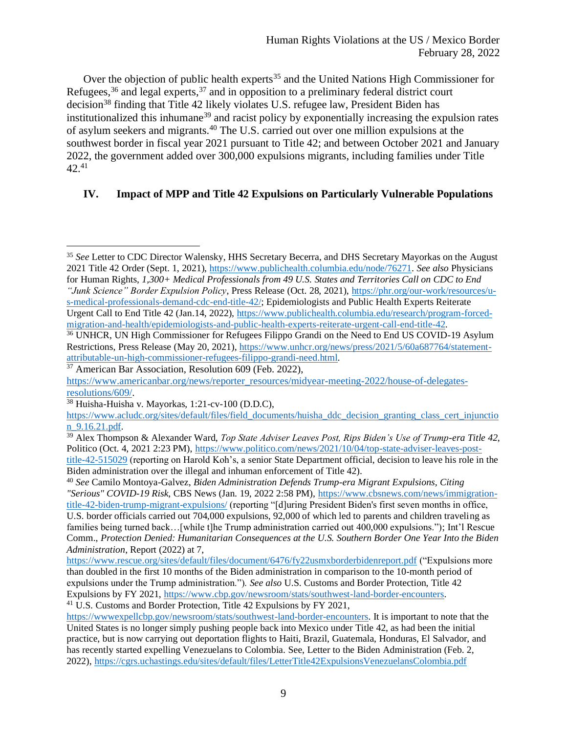Over the objection of public health experts<sup>35</sup> and the United Nations High Commissioner for Refugees,<sup>36</sup> and legal experts,<sup>37</sup> and in opposition to a preliminary federal district court decision<sup>38</sup> finding that Title 42 likely violates U.S. refugee law, President Biden has institutionalized this inhumane<sup>39</sup> and racist policy by exponentially increasing the expulsion rates of asylum seekers and migrants.<sup>40</sup> The U.S. carried out over one million expulsions at the southwest border in fiscal year 2021 pursuant to Title 42; and between October 2021 and January 2022, the government added over 300,000 expulsions migrants, including families under Title 42.<sup>41</sup>

## **IV. Impact of MPP and Title 42 Expulsions on Particularly Vulnerable Populations**

<sup>35</sup> *See* Letter to CDC Director Walensky, HHS Secretary Becerra, and DHS Secretary Mayorkas on the August 2021 Title 42 Order (Sept. 1, 2021), [https://www.publichealth.columbia.edu/node/76271.](https://www.publichealth.columbia.edu/node/76271) *See also* Physicians for Human Rights, *1,300+ Medical Professionals from 49 U.S. States and Territories Call on CDC to End "Junk Science" Border Expulsion Policy*, Press Release (Oct. 28, 2021), [https://phr.org/our-work/resources/u-](https://phr.org/our-work/resources/u-s-medical-professionals-demand-cdc-end-title-42/)

[s-medical-professionals-demand-cdc-end-title-42/;](https://phr.org/our-work/resources/u-s-medical-professionals-demand-cdc-end-title-42/) Epidemiologists and Public Health Experts Reiterate Urgent Call to End Title 42 (Jan.14, 2022), [https://www.publichealth.columbia.edu/research/program-forced](https://www.publichealth.columbia.edu/research/program-forced-migration-and-health/epidemiologists-and-public-health-experts-reiterate-urgent-call-end-title-42)[migration-and-health/epidemiologists-and-public-health-experts-reiterate-urgent-call-end-title-42.](https://www.publichealth.columbia.edu/research/program-forced-migration-and-health/epidemiologists-and-public-health-experts-reiterate-urgent-call-end-title-42)

<sup>&</sup>lt;sup>36</sup> UNHCR, UN High Commissioner for Refugees Filippo Grandi on the Need to End US COVID-19 Asylum Restrictions, Press Release (May 20, 2021), [https://www.unhcr.org/news/press/2021/5/60a687764/statement](https://www.unhcr.org/news/press/2021/5/60a687764/statement-attributable-un-high-commissioner-refugees-filippo-grandi-need.html)[attributable-un-high-commissioner-refugees-filippo-grandi-need.html.](https://www.unhcr.org/news/press/2021/5/60a687764/statement-attributable-un-high-commissioner-refugees-filippo-grandi-need.html)

 $37$  American Bar Association, Resolution 609 (Feb. 2022),

[https://www.americanbar.org/news/reporter\\_resources/midyear-meeting-2022/house-of-delegates](https://www.americanbar.org/news/reporter_resources/midyear-meeting-2022/house-of-delegates-resolutions/609/)[resolutions/609/.](https://www.americanbar.org/news/reporter_resources/midyear-meeting-2022/house-of-delegates-resolutions/609/)

<sup>38</sup> Huisha-Huisha v. Mayorkas, 1:21-cv-100 (D.D.C),

[https://www.acludc.org/sites/default/files/field\\_documents/huisha\\_ddc\\_decision\\_granting\\_class\\_cert\\_injunctio](https://www.acludc.org/sites/default/files/field_documents/huisha_ddc_decision_granting_class_cert_injunction_9.16.21.pdf) [n\\_9.16.21.pdf.](https://www.acludc.org/sites/default/files/field_documents/huisha_ddc_decision_granting_class_cert_injunction_9.16.21.pdf)

<sup>39</sup> Alex Thompson & Alexander Ward, *Top State Adviser Leaves Post, Rips Biden's Use of Trump-era Title 42*, Politico (Oct. 4, 2021 2:23 PM), [https://www.politico.com/news/2021/10/04/top-state-adviser-leaves-post](https://www.politico.com/news/2021/10/04/top-state-adviser-leaves-post-title-42-515029)[title-42-515029](https://www.politico.com/news/2021/10/04/top-state-adviser-leaves-post-title-42-515029) (reporting on Harold Koh's, a senior State Department official, decision to leave his role in the Biden administration over the illegal and inhuman enforcement of Title 42).

<sup>40</sup> *See* Camilo Montoya-Galvez, *Biden Administration Defends Trump-era Migrant Expulsions, Citing "Serious" COVID-19 Risk*, CBS News (Jan. 19, 2022 2:58 PM), [https://www.cbsnews.com/news/immigration](https://www.cbsnews.com/news/immigration-title-42-biden-trump-migrant-expulsions/)[title-42-biden-trump-migrant-expulsions/](https://www.cbsnews.com/news/immigration-title-42-biden-trump-migrant-expulsions/) (reporting "[d]uring President Biden's first seven months in office, U.S. border officials carried out 704,000 expulsions, 92,000 of which led to parents and children traveling as families being turned back…[while t]he Trump administration carried out 400,000 expulsions."); Int'l Rescue Comm., *Protection Denied: Humanitarian Consequences at the U.S. Southern Border One Year Into the Biden Administration*, Report (2022) at 7,

<https://www.rescue.org/sites/default/files/document/6476/fy22usmxborderbidenreport.pdf> ("Expulsions more than doubled in the first 10 months of the Biden administration in comparison to the 10-month period of expulsions under the Trump administration."). *See also* U.S. Customs and Border Protection, Title 42 Expulsions by FY 2021[, https://www.cbp.gov/newsroom/stats/southwest-land-border-encounters.](https://www.cbp.gov/newsroom/stats/southwest-land-border-encounters) <sup>41</sup> U.S. Customs and Border Protection, Title 42 Expulsions by FY 2021,

[https://wwwexpellcbp.gov/newsroom/stats/southwest-land-border-encounters.](https://wwwexpellcbp.gov/newsroom/stats/southwest-land-border-encounters) It is important to note that the United States is no longer simply pushing people back into Mexico under Title 42, as had been the initial practice, but is now carrying out deportation flights to Haiti, Brazil, Guatemala, Honduras, El Salvador, and has recently started expelling Venezuelans to Colombia. See, Letter to the Biden Administration (Feb. 2, 2022)[, https://cgrs.uchastings.edu/sites/default/files/LetterTitle42ExpulsionsVenezuelansColombia.pdf](https://cgrs.uchastings.edu/sites/default/files/LetterTitle42ExpulsionsVenezuelansColombia.pdf)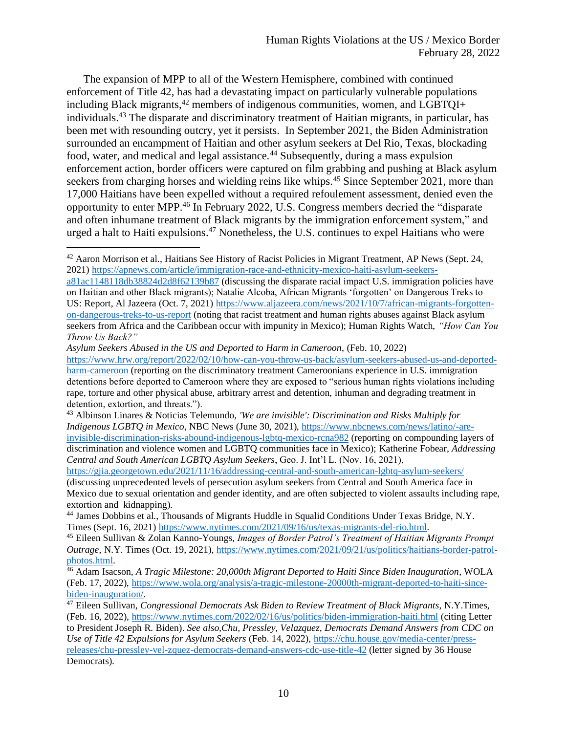The expansion of MPP to all of the Western Hemisphere, combined with continued enforcement of Title 42, has had a devastating impact on particularly vulnerable populations including Black migrants, $42$  members of indigenous communities, women, and LGBTQI+ individuals. <sup>43</sup> The disparate and discriminatory treatment of Haitian migrants, in particular, has been met with resounding outcry, yet it persists. In September 2021, the Biden Administration surrounded an encampment of Haitian and other asylum seekers at Del Rio, Texas, blockading food, water, and medical and legal assistance.<sup>44</sup> Subsequently, during a mass expulsion enforcement action, border officers were captured on film grabbing and pushing at Black asylum seekers from charging horses and wielding reins like whips.<sup>45</sup> Since September 2021, more than 17,000 Haitians have been expelled without a required refoulement assessment, denied even the opportunity to enter MPP.<sup>46</sup> In February 2022, U.S. Congress members decried the "disparate and often inhumane treatment of Black migrants by the immigration enforcement system," and urged a halt to Haiti expulsions. <sup>47</sup> Nonetheless, the U.S. continues to expel Haitians who were

<sup>42</sup> Aaron Morrison et al., Haitians See History of Racist Policies in Migrant Treatment, AP News (Sept. 24, 2021) [https://apnews.com/article/immigration-race-and-ethnicity-mexico-haiti-asylum-seekers-](https://apnews.com/article/immigration-race-and-ethnicity-mexico-haiti-asylum-seekers-a81ac1148118db38824d2d8f62139b87)

[a81ac1148118db38824d2d8f62139b87](https://apnews.com/article/immigration-race-and-ethnicity-mexico-haiti-asylum-seekers-a81ac1148118db38824d2d8f62139b87) (discussing the disparate racial impact U.S. immigration policies have on Haitian and other Black migrants); Natalie Alcoba, African Migrants 'forgotten' on Dangerous Treks to US: Report, Al Jazeera (Oct. 7, 2021) [https://www.aljazeera.com/news/2021/10/7/african-migrants-forgotten](https://www.aljazeera.com/news/2021/10/7/african-migrants-forgotten-on-dangerous-treks-to-us-report)[on-dangerous-treks-to-us-report](https://www.aljazeera.com/news/2021/10/7/african-migrants-forgotten-on-dangerous-treks-to-us-report) (noting that racist treatment and human rights abuses against Black asylum seekers from Africa and the Caribbean occur with impunity in Mexico); Human Rights Watch, *"How Can You Throw Us Back?"*

*Asylum Seekers Abused in the US and Deported to Harm in Cameroon*, (Feb. 10, 2022) [https://www.hrw.org/report/2022/02/10/how-can-you-throw-us-back/asylum-seekers-abused-us-and-deported](https://www.hrw.org/report/2022/02/10/how-can-you-throw-us-back/asylum-seekers-abused-us-and-deported-harm-cameroon)[harm-cameroon](https://www.hrw.org/report/2022/02/10/how-can-you-throw-us-back/asylum-seekers-abused-us-and-deported-harm-cameroon) (reporting on the discriminatory treatment Cameroonians experience in U.S. immigration detentions before deported to Cameroon where they are exposed to "serious human rights violations including rape, torture and other physical abuse, arbitrary arrest and detention, inhuman and degrading treatment in detention, extortion, and threats.").

<sup>43</sup> Albinson Linares & Noticias Telemundo, *'We are invisible': Discrimination and Risks Multiply for Indigenous LGBTQ in Mexico*, NBC News (June 30, 2021)[, https://www.nbcnews.com/news/latino/-are](https://www.nbcnews.com/news/latino/-are-invisible-discrimination-risks-abound-indigenous-lgbtq-mexico-rcna982)[invisible-discrimination-risks-abound-indigenous-lgbtq-mexico-rcna982](https://www.nbcnews.com/news/latino/-are-invisible-discrimination-risks-abound-indigenous-lgbtq-mexico-rcna982) (reporting on compounding layers of discrimination and violence women and LGBTQ communities face in Mexico); Katherine Fobear, *Addressing Central and South American LGBTQ Asylum Seekers*, Geo. J. Int'l L. (Nov. 16, 2021),

<https://gjia.georgetown.edu/2021/11/16/addressing-central-and-south-american-lgbtq-asylum-seekers/> (discussing unprecedented levels of persecution asylum seekers from Central and South America face in Mexico due to sexual orientation and gender identity, and are often subjected to violent assaults including rape, extortion and kidnapping).

<sup>&</sup>lt;sup>44</sup> James Dobbins et al., Thousands of Migrants Huddle in Squalid Conditions Under Texas Bridge, N.Y. Times (Sept. 16, 2021) [https://www.nytimes.com/2021/09/16/us/texas-migrants-del-rio.html.](https://www.nytimes.com/2021/09/16/us/texas-migrants-del-rio.html)

<sup>45</sup> Eileen Sullivan & Zolan Kanno-Youngs, *Images of Border Patrol's Treatment of Haitian Migrants Prompt Outrage*, N.Y. Times (Oct. 19, 2021)[, https://www.nytimes.com/2021/09/21/us/politics/haitians-border-patrol](https://www.nytimes.com/2021/09/21/us/politics/haitians-border-patrol-photos.html)[photos.html.](https://www.nytimes.com/2021/09/21/us/politics/haitians-border-patrol-photos.html)

<sup>46</sup> Adam Isacson, *A Tragic Milestone: 20,000th Migrant Deported to Haiti Since Biden Inauguration*, WOLA (Feb. 17, 2022), [https://www.wola.org/analysis/a-tragic-milestone-20000th-migrant-deported-to-haiti-since](https://www.wola.org/analysis/a-tragic-milestone-20000th-migrant-deported-to-haiti-since-biden-inauguration/)[biden-inauguration/.](https://www.wola.org/analysis/a-tragic-milestone-20000th-migrant-deported-to-haiti-since-biden-inauguration/)

<sup>47</sup> Eileen Sullivan, *Congressional Democrats Ask Biden to Review Treatment of Black Migrants*, N.Y.Times, (Feb. 16, 2022),<https://www.nytimes.com/2022/02/16/us/politics/biden-immigration-haiti.html> (citing Letter to President Joseph R. Biden). *See also,Chu, Pressley, Velazquez, Democrats Demand Answers from CDC on Use of Title 42 Expulsions for Asylum Seekers* (Feb. 14, 2022), [https://chu.house.gov/media-center/press](https://chu.house.gov/media-center/press-releases/chu-pressley-vel-zquez-democrats-demand-answers-cdc-use-title-42)[releases/chu-pressley-vel-zquez-democrats-demand-answers-cdc-use-title-42](https://chu.house.gov/media-center/press-releases/chu-pressley-vel-zquez-democrats-demand-answers-cdc-use-title-42) (letter signed by 36 House Democrats).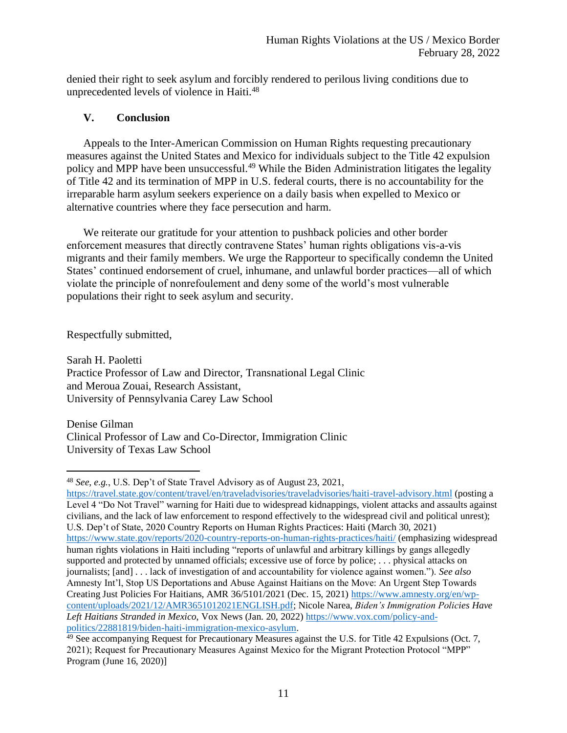denied their right to seek asylum and forcibly rendered to perilous living conditions due to unprecedented levels of violence in Haiti.<sup>48</sup>

# **V. Conclusion**

Appeals to the Inter-American Commission on Human Rights requesting precautionary measures against the United States and Mexico for individuals subject to the Title 42 expulsion policy and MPP have been unsuccessful.<sup>49</sup> While the Biden Administration litigates the legality of Title 42 and its termination of MPP in U.S. federal courts, there is no accountability for the irreparable harm asylum seekers experience on a daily basis when expelled to Mexico or alternative countries where they face persecution and harm.

We reiterate our gratitude for your attention to pushback policies and other border enforcement measures that directly contravene States' human rights obligations vis-a-vis migrants and their family members. We urge the Rapporteur to specifically condemn the United States' continued endorsement of cruel, inhumane, and unlawful border practices—all of which violate the principle of nonrefoulement and deny some of the world's most vulnerable populations their right to seek asylum and security.

Respectfully submitted,

Sarah H. Paoletti Practice Professor of Law and Director, Transnational Legal Clinic and Meroua Zouai, Research Assistant, University of Pennsylvania Carey Law School

Denise Gilman Clinical Professor of Law and Co-Director, Immigration Clinic University of Texas Law School

<sup>48</sup> *See*, *e.g.*, U.S. Dep't of State Travel Advisory as of August 23, 2021,

<https://travel.state.gov/content/travel/en/traveladvisories/traveladvisories/haiti-travel-advisory.html> (posting a Level 4 "Do Not Travel" warning for Haiti due to widespread kidnappings, violent attacks and assaults against civilians, and the lack of law enforcement to respond effectively to the widespread civil and political unrest); U.S. Dep't of State, 2020 Country Reports on Human Rights Practices: Haiti (March 30, 2021) <https://www.state.gov/reports/2020-country-reports-on-human-rights-practices/haiti/> (emphasizing widespread human rights violations in Haiti including "reports of unlawful and arbitrary killings by gangs allegedly supported and protected by unnamed officials; excessive use of force by police; ... physical attacks on journalists; [and] . . . lack of investigation of and accountability for violence against women."). *See also* Amnesty Int'l, Stop US Deportations and Abuse Against Haitians on the Move: An Urgent Step Towards Creating Just Policies For Haitians, AMR 36/5101/2021 (Dec. 15, 2021) [https://www.amnesty.org/en/wp](https://www.amnesty.org/en/wp-content/uploads/2021/12/AMR3651012021ENGLISH.pdf)[content/uploads/2021/12/AMR3651012021ENGLISH.pdf;](https://www.amnesty.org/en/wp-content/uploads/2021/12/AMR3651012021ENGLISH.pdf) Nicole Narea, *Biden's Immigration Policies Have Left Haitians Stranded in Mexico*, Vox News (Jan. 20, 2022) [https://www.vox.com/policy-and](https://www.vox.com/policy-and-politics/22881819/biden-haiti-immigration-mexico-asylum)[politics/22881819/biden-haiti-immigration-mexico-asylum.](https://www.vox.com/policy-and-politics/22881819/biden-haiti-immigration-mexico-asylum)

<sup>49</sup> See accompanying Request for Precautionary Measures against the U.S. for Title 42 Expulsions (Oct. 7, 2021); Request for Precautionary Measures Against Mexico for the Migrant Protection Protocol "MPP" Program (June 16, 2020)]